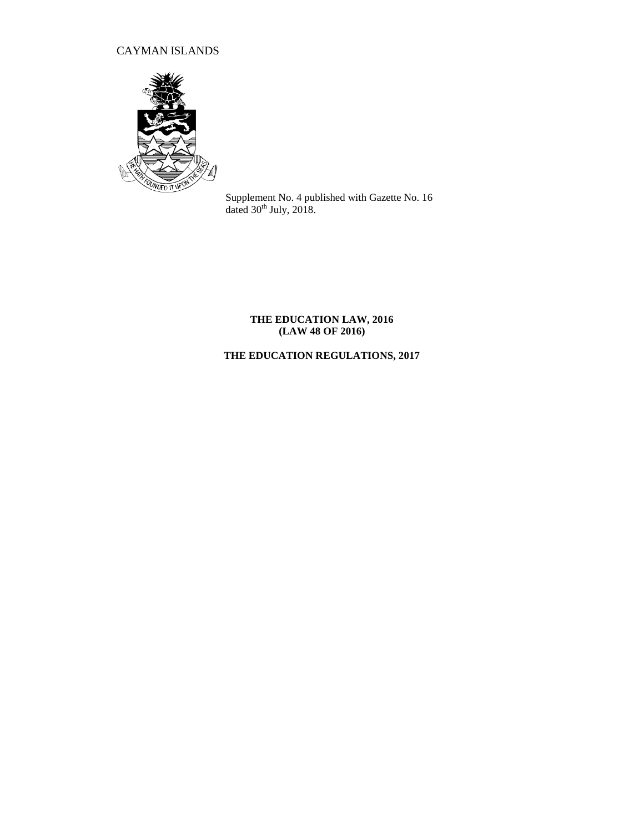# CAYMAN ISLANDS



Supplement No. 4 published with Gazette No. 16 dated  $30<sup>th</sup>$  July, 2018.

## **THE EDUCATION LAW, 2016 (LAW 48 OF 2016)**

# **THE EDUCATION REGULATIONS, 2017**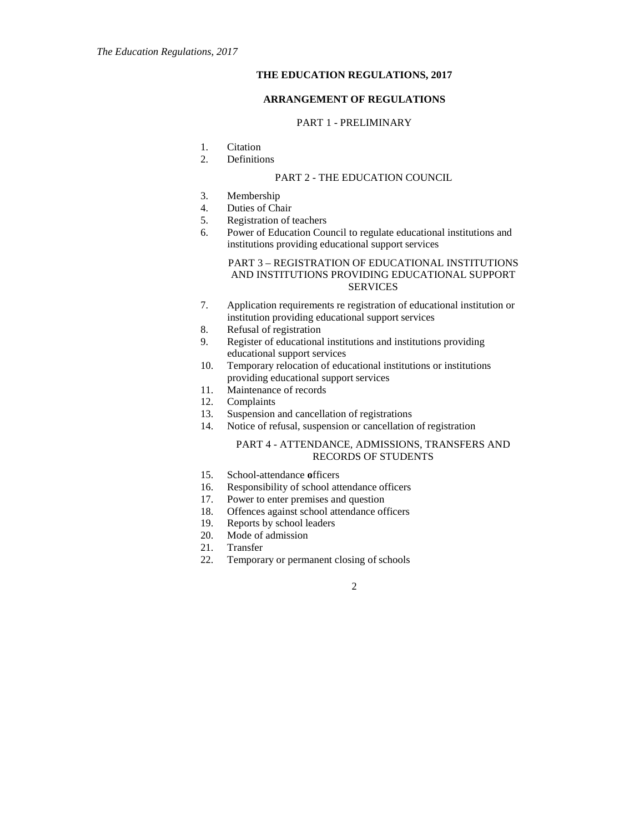## **THE EDUCATION REGULATIONS, 2017**

## **ARRANGEMENT OF REGULATIONS**

## PART 1 - PRELIMINARY

- 1. Citation
- 2. Definitions

#### PART 2 - THE EDUCATION COUNCIL

- 3. Membership
- 4. Duties of Chair
- 5. Registration of teachers
- 6. Power of Education Council to regulate educational institutions and institutions providing educational support services

### PART 3 – REGISTRATION OF EDUCATIONAL INSTITUTIONS AND INSTITUTIONS PROVIDING EDUCATIONAL SUPPORT **SERVICES**

- 7. Application requirements re registration of educational institution or institution providing educational support services
- 8. Refusal of registration
- 9. Register of educational institutions and institutions providing educational support services
- 10. Temporary relocation of educational institutions or institutions providing educational support services
- 11. Maintenance of records
- 12. Complaints
- 13. Suspension and cancellation of registrations
- 14. Notice of refusal, suspension or cancellation of registration

## PART 4 - ATTENDANCE, ADMISSIONS, TRANSFERS AND RECORDS OF STUDENTS

- 15. School-attendance **o**fficers
- 16. Responsibility of school attendance officers
- 17. Power to enter premises and question
- 18. Offences against school attendance officers
- 19. Reports by school leaders
- 20. Mode of admission
- 21. Transfer
- 22. Temporary or permanent closing of schools

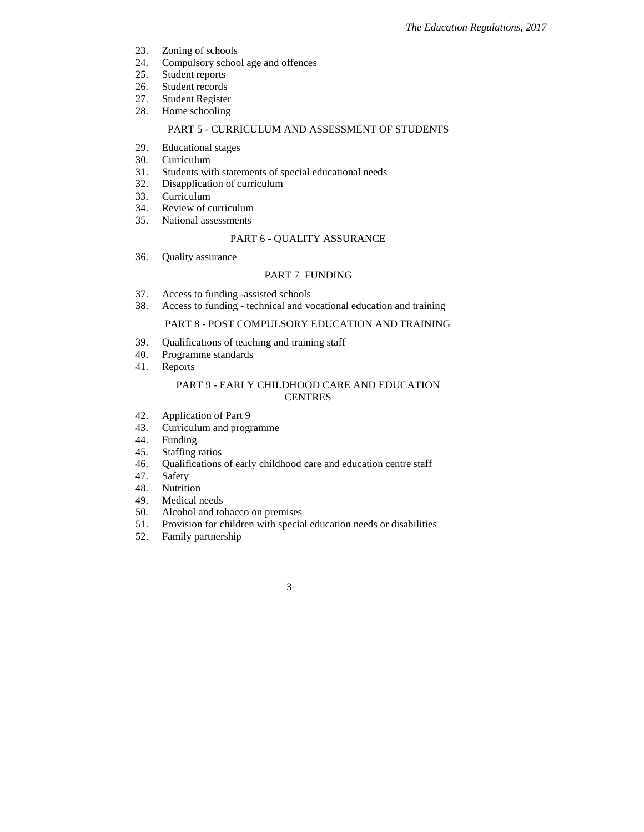- 23. Zoning of schools
- 24. Compulsory school age and offences<br>25. Student reports
- Student reports
- 26. Student records
- 27. Student Register
- 28. Home schooling

## PART 5 - CURRICULUM AND ASSESSMENT OF STUDENTS

- 29. Educational stages
- 30. Curriculum
- 31. Students with statements of special educational needs
- 32. Disapplication of curriculum
- 33. Curriculum
- 34. Review of curriculum
- 35. National assessments

## PART 6 - QUALITY ASSURANCE

36. Quality assurance

## PART 7 FUNDING

- 37. Access to funding -assisted schools
- 38. Access to funding technical and vocational education and training

## PART 8 - POST COMPULSORY EDUCATION AND TRAINING

- 39. Qualifications of teaching and training staff
- 40. Programme standards
- 41. Reports

## PART 9 - EARLY CHILDHOOD CARE AND EDUCATION CENTRES

- 42. Application of Part 9
- 43. Curriculum and programme
- 44. Funding
- 45. Staffing ratios
- 46. Qualifications of early childhood care and education centre staff 47. Safety
- **Safety**
- 48. Nutrition
- 49. Medical needs
- 50. Alcohol and tobacco on premises
- 51. Provision for children with special education needs or disabilities 52. Family partnership

3

Family partnership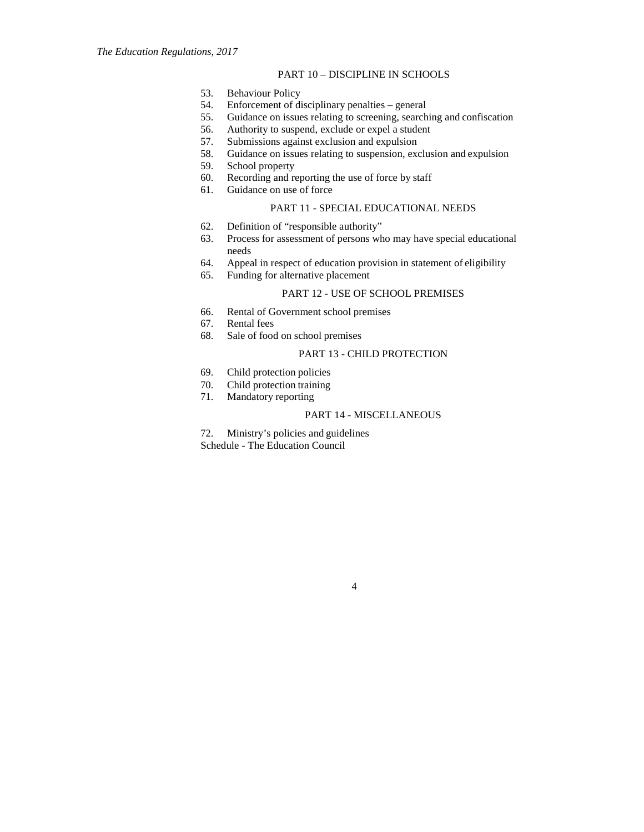## PART 10 – DISCIPLINE IN SCHOOLS

- 53. Behaviour Policy
- 54. Enforcement of disciplinary penalties general
- 55. Guidance on issues relating to screening, searching and confiscation
- 56. Authority to suspend, exclude or expel a student
- 57. Submissions against exclusion and expulsion
- 58. Guidance on issues relating to suspension, exclusion and expulsion
- 59. School property
- 60. Recording and reporting the use of force by staff
- 61. Guidance on use of force

## PART 11 - SPECIAL EDUCATIONAL NEEDS

- 62. Definition of "responsible authority"
- 63. Process for assessment of persons who may have special educational needs
- 64. Appeal in respect of education provision in statement of eligibility
- 65. Funding for alternative placement

### PART 12 - USE OF SCHOOL PREMISES

- 66. Rental of Government school premises
- Rental fees
- 68. Sale of food on school premises

## PART 13 - CHILD PROTECTION

- 69. Child protection policies
- 70. Child protection training
- 71. Mandatory reporting

## PART 14 - MISCELLANEOUS

72. Ministry's policies and guidelines Schedule - The Education Council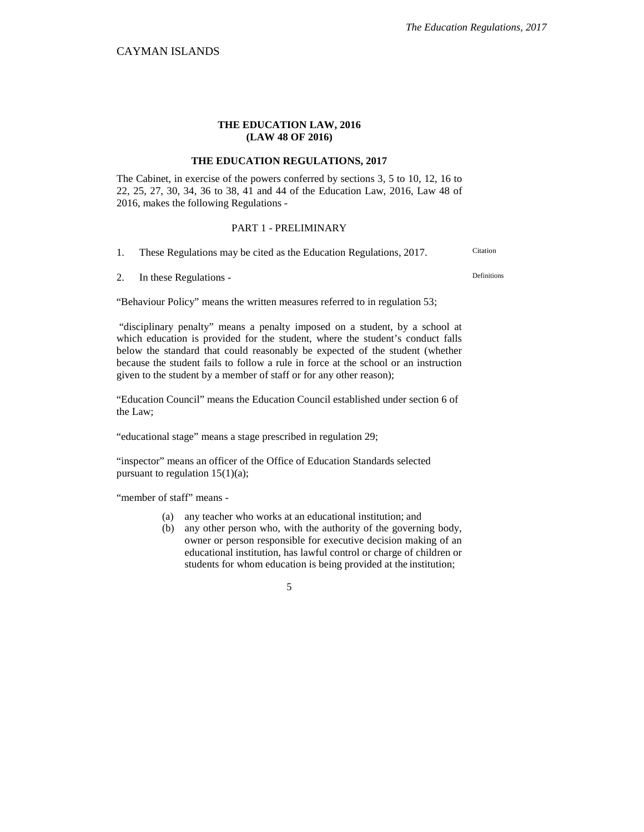## **THE EDUCATION LAW, 2016 (LAW 48 OF 2016)**

## **THE EDUCATION REGULATIONS, 2017**

The Cabinet, in exercise of the powers conferred by sections 3, 5 to 10, 12, 16 to 22, 25, 27, 30, 34, 36 to 38, 41 and 44 of the Education Law, 2016, Law 48 of 2016, makes the following Regulations -

## PART 1 - PRELIMINARY

1. These Regulations may be cited as the Education Regulations, 2017. Citation

2. In these Regulations -

"Behaviour Policy" means the written measures referred to in regulation 53;

"disciplinary penalty" means a penalty imposed on a student, by a school at which education is provided for the student, where the student's conduct falls below the standard that could reasonably be expected of the student (whether because the student fails to follow a rule in force at the school or an instruction given to the student by a member of staff or for any other reason);

"Education Council" means the Education Council established under section 6 of the Law;

"educational stage" means a stage prescribed in regulation 29;

"inspector" means an officer of the Office of Education Standards selected pursuant to regulation 15(1)(a);

"member of staff" means -

- (a) any teacher who works at an educational institution; and
- (b) any other person who, with the authority of the governing body, owner or person responsible for executive decision making of an educational institution, has lawful control or charge of children or students for whom education is being provided at the institution;

5

Definitions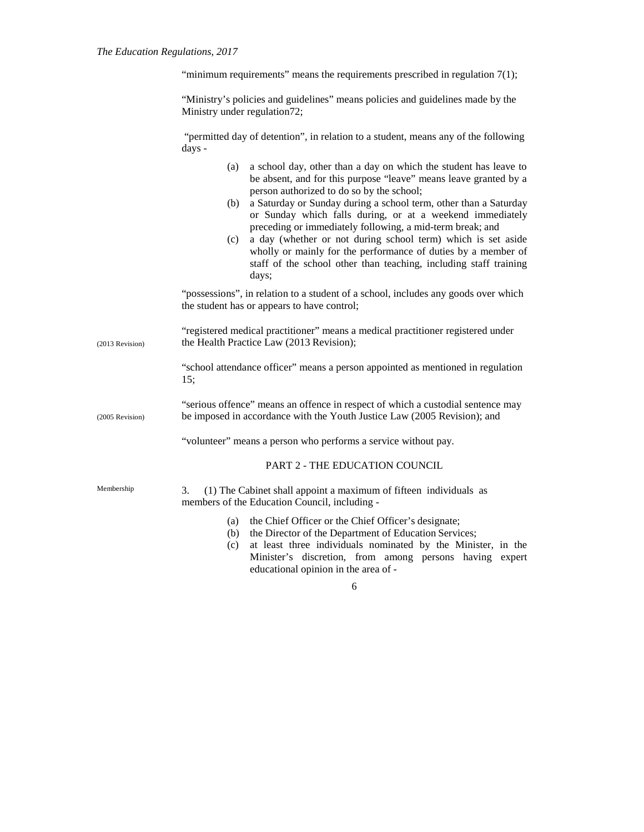#### *The Education Regulations, 2017*

"minimum requirements" means the requirements prescribed in regulation  $7(1)$ ;

"Ministry's policies and guidelines" means policies and guidelines made by the Ministry under regulation72;

"permitted day of detention", in relation to a student, means any of the following days -

- (a) a school day, other than a day on which the student has leave to be absent, and for this purpose "leave" means leave granted by a person authorized to do so by the school;
- (b) a Saturday or Sunday during a school term, other than a Saturday or Sunday which falls during, or at a weekend immediately preceding or immediately following, a mid-term break; and
- (c) a day (whether or not during school term) which is set aside wholly or mainly for the performance of duties by a member of staff of the school other than teaching, including staff training days;

"possessions", in relation to a student of a school, includes any goods over which the student has or appears to have control;

(2013 Revision) "registered medical practitioner" means a medical practitioner registered under the Health Practice Law (2013 Revision);

> "school attendance officer" means a person appointed as mentioned in regulation 15;

(2005 Revision) "serious offence" means an offence in respect of which a custodial sentence may be imposed in accordance with the Youth Justice Law (2005 Revision); and

"volunteer" means a person who performs a service without pay.

PART 2 - THE EDUCATION COUNCIL

Membership 3. (1) The Cabinet shall appoint a maximum of fifteen individuals as members of the Education Council, including -

- (a) the Chief Officer or the Chief Officer's designate;
- (b) the Director of the Department of Education Services;
- (c) at least three individuals nominated by the Minister, in the Minister's discretion, from among persons having expert educational opinion in the area of -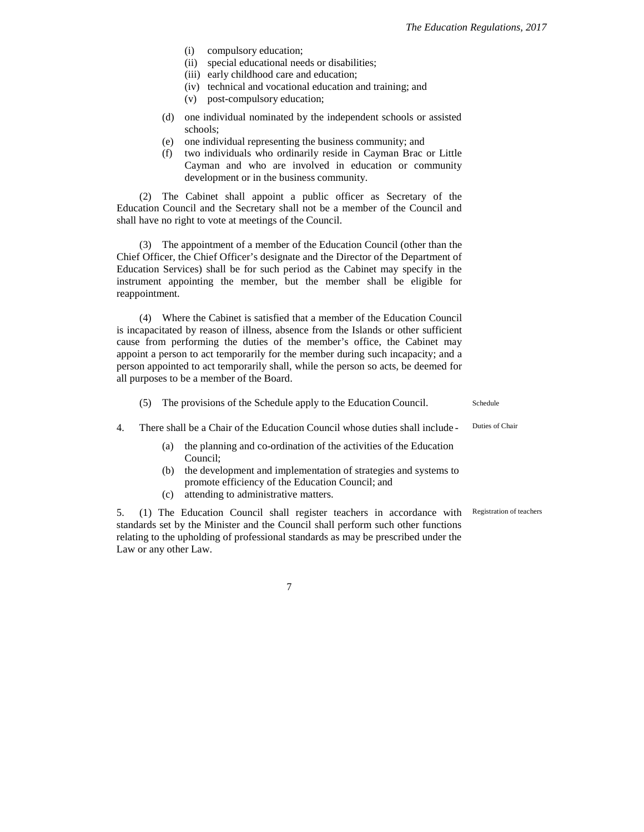- (i) compulsory education;
- (ii) special educational needs or disabilities;
- (iii) early childhood care and education;
- (iv) technical and vocational education and training; and
- (v) post-compulsory education;
- (d) one individual nominated by the independent schools or assisted schools;
- (e) one individual representing the business community; and
- (f) two individuals who ordinarily reside in Cayman Brac or Little Cayman and who are involved in education or community development or in the business community.

(2) The Cabinet shall appoint a public officer as Secretary of the Education Council and the Secretary shall not be a member of the Council and shall have no right to vote at meetings of the Council.

(3) The appointment of a member of the Education Council (other than the Chief Officer, the Chief Officer's designate and the Director of the Department of Education Services) shall be for such period as the Cabinet may specify in the instrument appointing the member, but the member shall be eligible for reappointment.

(4) Where the Cabinet is satisfied that a member of the Education Council is incapacitated by reason of illness, absence from the Islands or other sufficient cause from performing the duties of the member's office, the Cabinet may appoint a person to act temporarily for the member during such incapacity; and a person appointed to act temporarily shall, while the person so acts, be deemed for all purposes to be a member of the Board.

|  | The provisions of the Schedule apply to the Education Council.              | <b>Schedule</b> |  |
|--|-----------------------------------------------------------------------------|-----------------|--|
|  | There shall be a Chair of the Education Council whose duties shall include- | Duties of Chair |  |

- (a) the planning and co-ordination of the activities of the Education Council;
	- (b) the development and implementation of strategies and systems to promote efficiency of the Education Council; and
	- (c) attending to administrative matters.

5. (1) The Education Council shall register teachers in accordance with Registration of teachers standards set by the Minister and the Council shall perform such other functions relating to the upholding of professional standards as may be prescribed under the Law or any other Law.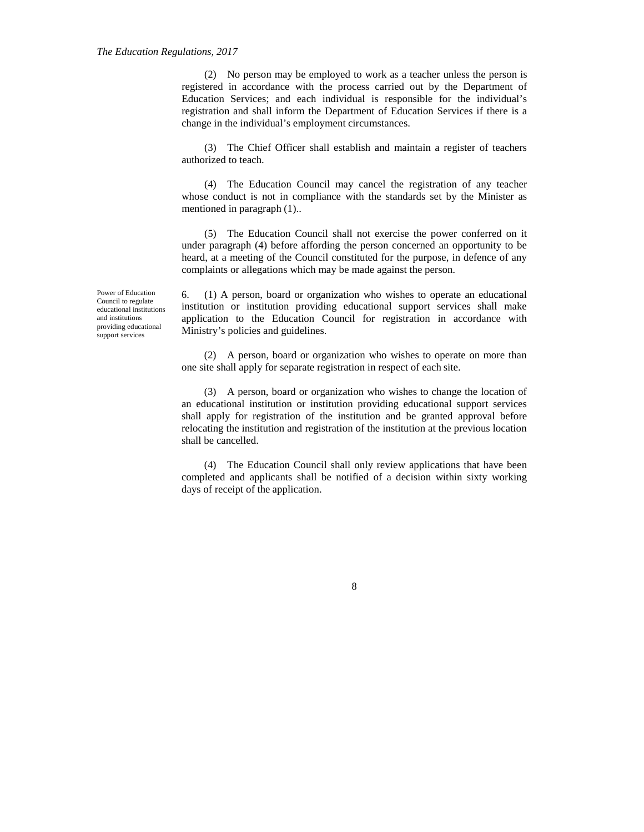(2) No person may be employed to work as a teacher unless the person is registered in accordance with the process carried out by the Department of Education Services; and each individual is responsible for the individual's registration and shall inform the Department of Education Services if there is a change in the individual's employment circumstances.

(3) The Chief Officer shall establish and maintain a register of teachers authorized to teach.

(4) The Education Council may cancel the registration of any teacher whose conduct is not in compliance with the standards set by the Minister as mentioned in paragraph (1)..

(5) The Education Council shall not exercise the power conferred on it under paragraph (4) before affording the person concerned an opportunity to be heard, at a meeting of the Council constituted for the purpose, in defence of any complaints or allegations which may be made against the person.

6. (1) A person, board or organization who wishes to operate an educational institution or institution providing educational support services shall make application to the Education Council for registration in accordance with Ministry's policies and guidelines.

(2) A person, board or organization who wishes to operate on more than one site shall apply for separate registration in respect of each site.

(3) A person, board or organization who wishes to change the location of an educational institution or institution providing educational support services shall apply for registration of the institution and be granted approval before relocating the institution and registration of the institution at the previous location shall be cancelled.

(4) The Education Council shall only review applications that have been completed and applicants shall be notified of a decision within sixty working days of receipt of the application.

Power of Education Council to regulate educational institutions and institutions providing educational support services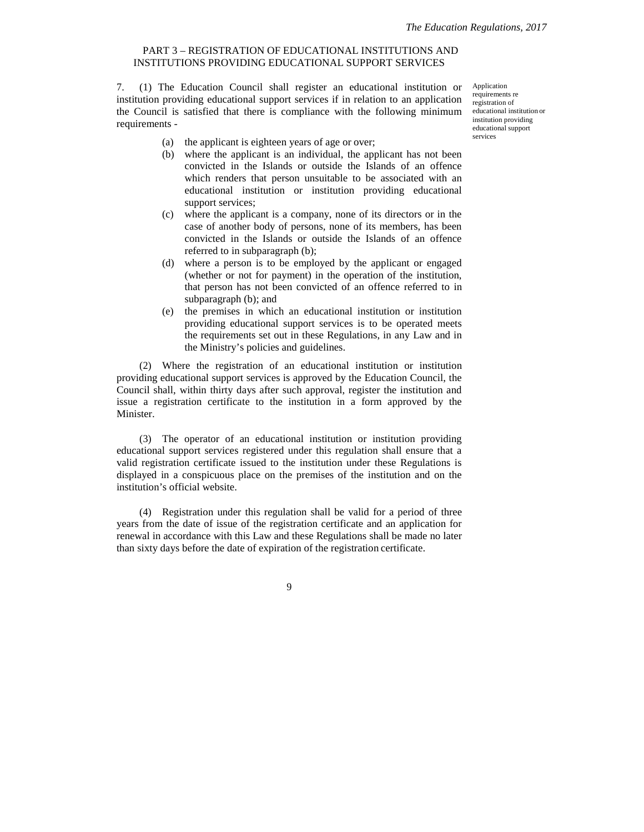## PART 3 – REGISTRATION OF EDUCATIONAL INSTITUTIONS AND INSTITUTIONS PROVIDING EDUCATIONAL SUPPORT SERVICES

7. (1) The Education Council shall register an educational institution or institution providing educational support services if in relation to an application the Council is satisfied that there is compliance with the following minimum requirements -

Application requirements re registration of educational institution or institution providing educational support services

- (a) the applicant is eighteen years of age or over;
- (b) where the applicant is an individual, the applicant has not been convicted in the Islands or outside the Islands of an offence which renders that person unsuitable to be associated with an educational institution or institution providing educational support services;
- (c) where the applicant is a company, none of its directors or in the case of another body of persons, none of its members, has been convicted in the Islands or outside the Islands of an offence referred to in subparagraph (b);
- (d) where a person is to be employed by the applicant or engaged (whether or not for payment) in the operation of the institution, that person has not been convicted of an offence referred to in subparagraph (b); and
- (e) the premises in which an educational institution or institution providing educational support services is to be operated meets the requirements set out in these Regulations, in any Law and in the Ministry's policies and guidelines.

(2) Where the registration of an educational institution or institution providing educational support services is approved by the Education Council, the Council shall, within thirty days after such approval, register the institution and issue a registration certificate to the institution in a form approved by the Minister.

(3) The operator of an educational institution or institution providing educational support services registered under this regulation shall ensure that a valid registration certificate issued to the institution under these Regulations is displayed in a conspicuous place on the premises of the institution and on the institution's official website.

(4) Registration under this regulation shall be valid for a period of three years from the date of issue of the registration certificate and an application for renewal in accordance with this Law and these Regulations shall be made no later than sixty days before the date of expiration of the registration certificate.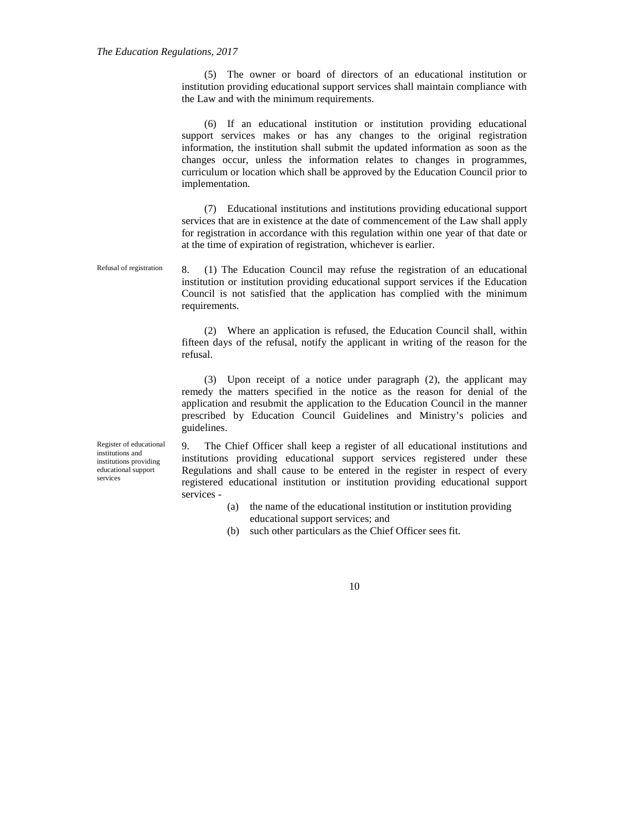(5) The owner or board of directors of an educational institution or institution providing educational support services shall maintain compliance with the Law and with the minimum requirements.

(6) If an educational institution or institution providing educational support services makes or has any changes to the original registration information, the institution shall submit the updated information as soon as the changes occur, unless the information relates to changes in programmes, curriculum or location which shall be approved by the Education Council prior to implementation.

(7) Educational institutions and institutions providing educational support services that are in existence at the date of commencement of the Law shall apply for registration in accordance with this regulation within one year of that date or at the time of expiration of registration, whichever is earlier.

Refusal of registration 8. (1) The Education Council may refuse the registration of an educational institution or institution providing educational support services if the Education Council is not satisfied that the application has complied with the minimum requirements.

> (2) Where an application is refused, the Education Council shall, within fifteen days of the refusal, notify the applicant in writing of the reason for the refusal.

> (3) Upon receipt of a notice under paragraph (2), the applicant may remedy the matters specified in the notice as the reason for denial of the application and resubmit the application to the Education Council in the manner prescribed by Education Council Guidelines and Ministry's policies and guidelines.

Register of educational institutions and institutions providing educational support services

9. The Chief Officer shall keep a register of all educational institutions and institutions providing educational support services registered under these Regulations and shall cause to be entered in the register in respect of every registered educational institution or institution providing educational support services -

- (a) the name of the educational institution or institution providing educational support services; and
- (b) such other particulars as the Chief Officer sees fit.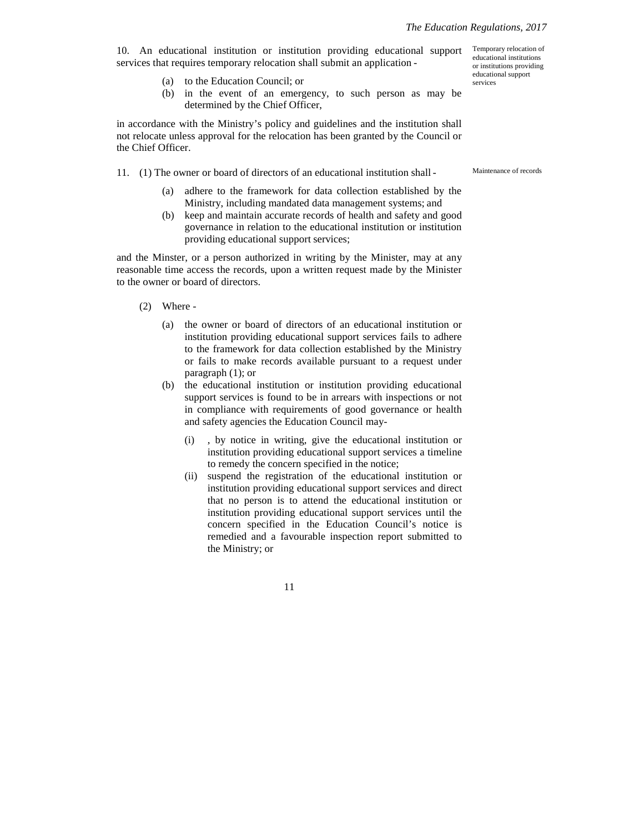10. An educational institution or institution providing educational support services that requires temporary relocation shall submit an application -

- (a) to the Education Council; or
- (b) in the event of an emergency, to such person as may be determined by the Chief Officer,

in accordance with the Ministry's policy and guidelines and the institution shall not relocate unless approval for the relocation has been granted by the Council or the Chief Officer.

- 11. (1) The owner or board of directors of an educational institution shall
	- (a) adhere to the framework for data collection established by the Ministry, including mandated data management systems; and
	- (b) keep and maintain accurate records of health and safety and good governance in relation to the educational institution or institution providing educational support services;

and the Minster, or a person authorized in writing by the Minister, may at any reasonable time access the records, upon a written request made by the Minister to the owner or board of directors.

- (2) Where
	- (a) the owner or board of directors of an educational institution or institution providing educational support services fails to adhere to the framework for data collection established by the Ministry or fails to make records available pursuant to a request under paragraph (1); or
	- (b) the educational institution or institution providing educational support services is found to be in arrears with inspections or not in compliance with requirements of good governance or health and safety agencies the Education Council may-
		- (i) , by notice in writing, give the educational institution or institution providing educational support services a timeline to remedy the concern specified in the notice;
		- (ii) suspend the registration of the educational institution or institution providing educational support services and direct that no person is to attend the educational institution or institution providing educational support services until the concern specified in the Education Council's notice is remedied and a favourable inspection report submitted to the Ministry; or

11

Maintenance of records

Temporary relocation of educational institutions or institutions providing educational support services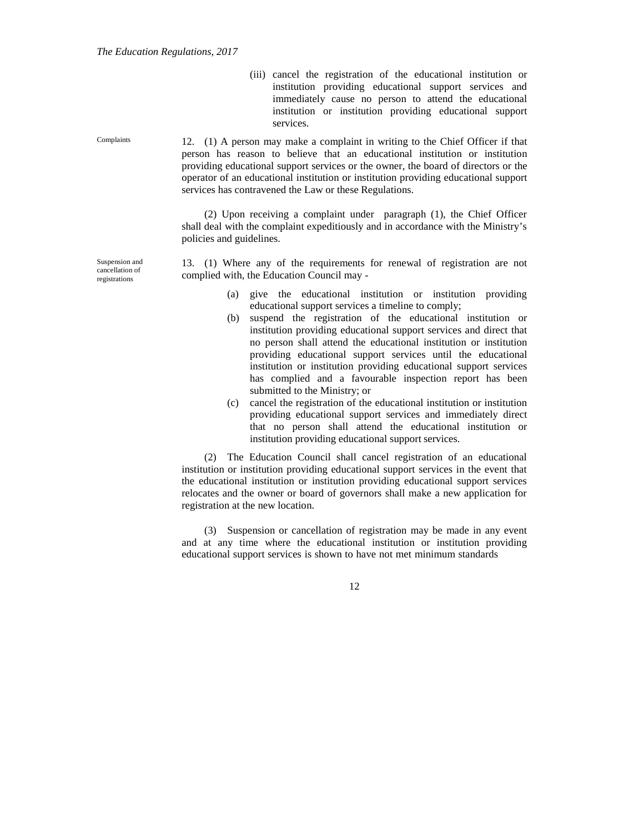(iii) cancel the registration of the educational institution or institution providing educational support services and immediately cause no person to attend the educational institution or institution providing educational support services.

Complaints 12. (1) A person may make a complaint in writing to the Chief Officer if that person has reason to believe that an educational institution or institution providing educational support services or the owner, the board of directors or the operator of an educational institution or institution providing educational support services has contravened the Law or these Regulations.

> (2) Upon receiving a complaint under paragraph (1), the Chief Officer shall deal with the complaint expeditiously and in accordance with the Ministry's policies and guidelines.

> 13. (1) Where any of the requirements for renewal of registration are not complied with, the Education Council may -

- (a) give the educational institution or institution providing educational support services a timeline to comply;
- (b) suspend the registration of the educational institution or institution providing educational support services and direct that no person shall attend the educational institution or institution providing educational support services until the educational institution or institution providing educational support services has complied and a favourable inspection report has been submitted to the Ministry; or
- (c) cancel the registration of the educational institution or institution providing educational support services and immediately direct that no person shall attend the educational institution or institution providing educational support services.

(2) The Education Council shall cancel registration of an educational institution or institution providing educational support services in the event that the educational institution or institution providing educational support services relocates and the owner or board of governors shall make a new application for registration at the new location.

(3) Suspension or cancellation of registration may be made in any event and at any time where the educational institution or institution providing educational support services is shown to have not met minimum standards

12

Suspension and

cancellation of registrations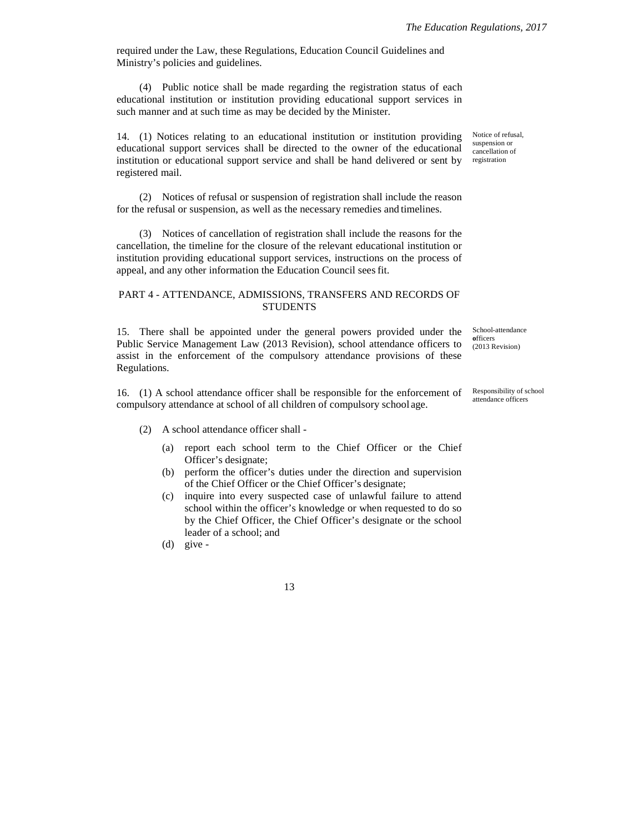required under the Law, these Regulations, Education Council Guidelines and Ministry's policies and guidelines.

(4) Public notice shall be made regarding the registration status of each educational institution or institution providing educational support services in such manner and at such time as may be decided by the Minister.

14. (1) Notices relating to an educational institution or institution providing educational support services shall be directed to the owner of the educational institution or educational support service and shall be hand delivered or sent by registered mail.

(2) Notices of refusal or suspension of registration shall include the reason for the refusal or suspension, as well as the necessary remedies and timelines.

(3) Notices of cancellation of registration shall include the reasons for the cancellation, the timeline for the closure of the relevant educational institution or institution providing educational support services, instructions on the process of appeal, and any other information the Education Council sees fit.

## PART 4 - ATTENDANCE, ADMISSIONS, TRANSFERS AND RECORDS OF **STUDENTS**

15. There shall be appointed under the general powers provided under the Public Service Management Law (2013 Revision), school attendance officers to assist in the enforcement of the compulsory attendance provisions of these Regulations.

16. (1) A school attendance officer shall be responsible for the enforcement of compulsory attendance at school of all children of compulsory school age.

(2) A school attendance officer shall -

- (a) report each school term to the Chief Officer or the Chief Officer's designate;
- (b) perform the officer's duties under the direction and supervision of the Chief Officer or the Chief Officer's designate;
- (c) inquire into every suspected case of unlawful failure to attend school within the officer's knowledge or when requested to do so by the Chief Officer, the Chief Officer's designate or the school leader of a school; and
- (d) give -

Notice of refusal, suspension or cancellation of registration

School-attendance **o**fficers (2013 Revision)

Responsibility of school attendance officers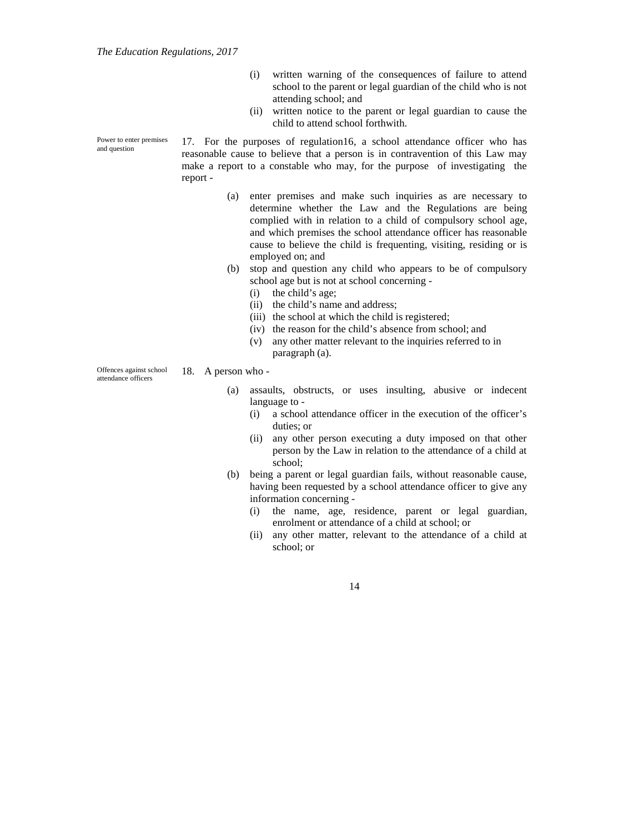- (i) written warning of the consequences of failure to attend school to the parent or legal guardian of the child who is not attending school; and
- (ii) written notice to the parent or legal guardian to cause the child to attend school forthwith.

17. For the purposes of regulation16, a school attendance officer who has reasonable cause to believe that a person is in contravention of this Law may make a report to a constable who may, for the purpose of investigating the report -

- (a) enter premises and make such inquiries as are necessary to determine whether the Law and the Regulations are being complied with in relation to a child of compulsory school age, and which premises the school attendance officer has reasonable cause to believe the child is frequenting, visiting, residing or is employed on; and
- (b) stop and question any child who appears to be of compulsory school age but is not at school concerning -
	- (i) the child's age;
	- (ii) the child's name and address;
	- (iii) the school at which the child is registered;
	- (iv) the reason for the child's absence from school; and
	- (v) any other matter relevant to the inquiries referred to in paragraph (a).

Offences against school attendance officers

18. A person who -

- (a) assaults, obstructs, or uses insulting, abusive or indecent language to -
	- (i) a school attendance officer in the execution of the officer's duties; or
	- (ii) any other person executing a duty imposed on that other person by the Law in relation to the attendance of a child at school;
- (b) being a parent or legal guardian fails, without reasonable cause, having been requested by a school attendance officer to give any information concerning -
	- (i) the name, age, residence, parent or legal guardian, enrolment or attendance of a child at school; or
	- (ii) any other matter, relevant to the attendance of a child at school; or

14

Power to enter premises and question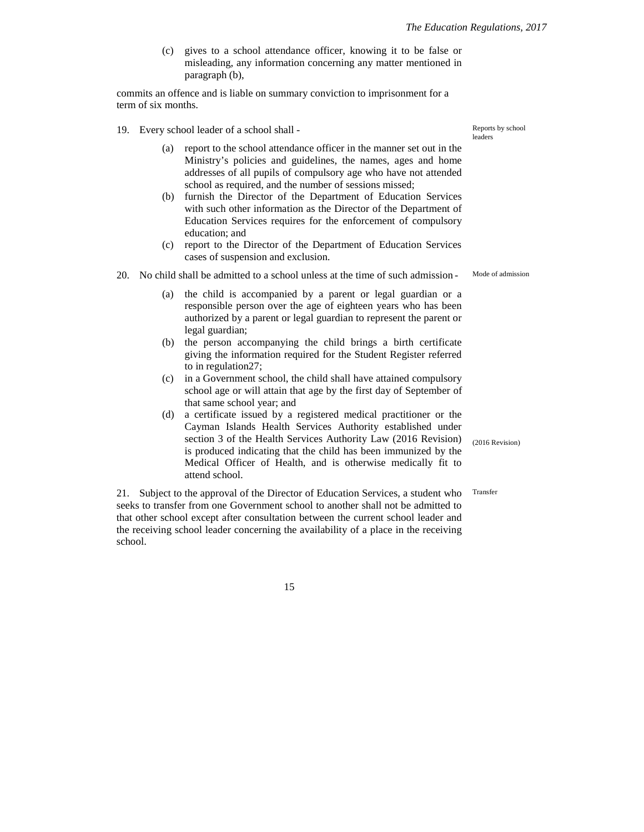(c) gives to a school attendance officer, knowing it to be false or misleading, any information concerning any matter mentioned in paragraph (b),

commits an offence and is liable on summary conviction to imprisonment for a term of six months.

- 19. Every school leader of a school shall
	- (a) report to the school attendance officer in the manner set out in the Ministry's policies and guidelines, the names, ages and home addresses of all pupils of compulsory age who have not attended school as required, and the number of sessions missed;
	- (b) furnish the Director of the Department of Education Services with such other information as the Director of the Department of Education Services requires for the enforcement of compulsory education; and
	- (c) report to the Director of the Department of Education Services cases of suspension and exclusion.
- 20. No child shall be admitted to a school unless at the time of such admission
	- (a) the child is accompanied by a parent or legal guardian or a responsible person over the age of eighteen years who has been authorized by a parent or legal guardian to represent the parent or legal guardian;
	- (b) the person accompanying the child brings a birth certificate giving the information required for the Student Register referred to in regulation27;
	- (c) in a Government school, the child shall have attained compulsory school age or will attain that age by the first day of September of that same school year; and
	- (d) a certificate issued by a registered medical practitioner or the Cayman Islands Health Services Authority established under section 3 of the Health Services Authority Law (2016 Revision) is produced indicating that the child has been immunized by the Medical Officer of Health, and is otherwise medically fit to attend school.

21. Subject to the approval of the Director of Education Services, a student who seeks to transfer from one Government school to another shall not be admitted to that other school except after consultation between the current school leader and the receiving school leader concerning the availability of a place in the receiving school.

15

Reports by school leaders

Mode of admission

(2016 Revision)

Transfer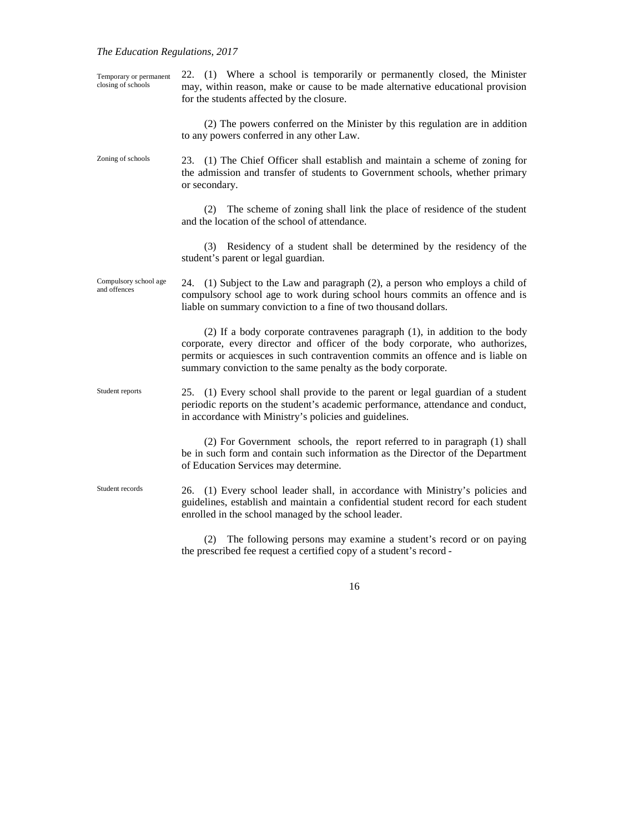## *The Education Regulations, 2017*

| Temporary or permanent<br>closing of schools | 22. (1) Where a school is temporarily or permanently closed, the Minister<br>may, within reason, make or cause to be made alternative educational provision<br>for the students affected by the closure.                                                                                                       |
|----------------------------------------------|----------------------------------------------------------------------------------------------------------------------------------------------------------------------------------------------------------------------------------------------------------------------------------------------------------------|
|                                              | (2) The powers conferred on the Minister by this regulation are in addition<br>to any powers conferred in any other Law.                                                                                                                                                                                       |
| Zoning of schools                            | (1) The Chief Officer shall establish and maintain a scheme of zoning for<br>23.<br>the admission and transfer of students to Government schools, whether primary<br>or secondary.                                                                                                                             |
|                                              | The scheme of zoning shall link the place of residence of the student<br>(2)<br>and the location of the school of attendance.                                                                                                                                                                                  |
|                                              | Residency of a student shall be determined by the residency of the<br>(3)<br>student's parent or legal guardian.                                                                                                                                                                                               |
| Compulsory school age<br>and offences        | 24. (1) Subject to the Law and paragraph (2), a person who employs a child of<br>compulsory school age to work during school hours commits an offence and is<br>liable on summary conviction to a fine of two thousand dollars.                                                                                |
|                                              | (2) If a body corporate contravenes paragraph (1), in addition to the body<br>corporate, every director and officer of the body corporate, who authorizes,<br>permits or acquiesces in such contravention commits an offence and is liable on<br>summary conviction to the same penalty as the body corporate. |
| Student reports                              | 25. (1) Every school shall provide to the parent or legal guardian of a student<br>periodic reports on the student's academic performance, attendance and conduct,<br>in accordance with Ministry's policies and guidelines.                                                                                   |
|                                              | (2) For Government schools, the report referred to in paragraph (1) shall<br>be in such form and contain such information as the Director of the Department<br>of Education Services may determine.                                                                                                            |
| Student records                              | (1) Every school leader shall, in accordance with Ministry's policies and<br>26.<br>guidelines, establish and maintain a confidential student record for each student<br>enrolled in the school managed by the school leader.                                                                                  |
|                                              | The following persons may examine a student's record or on paying<br>(2)                                                                                                                                                                                                                                       |

16

the prescribed fee request a certified copy of a student's record -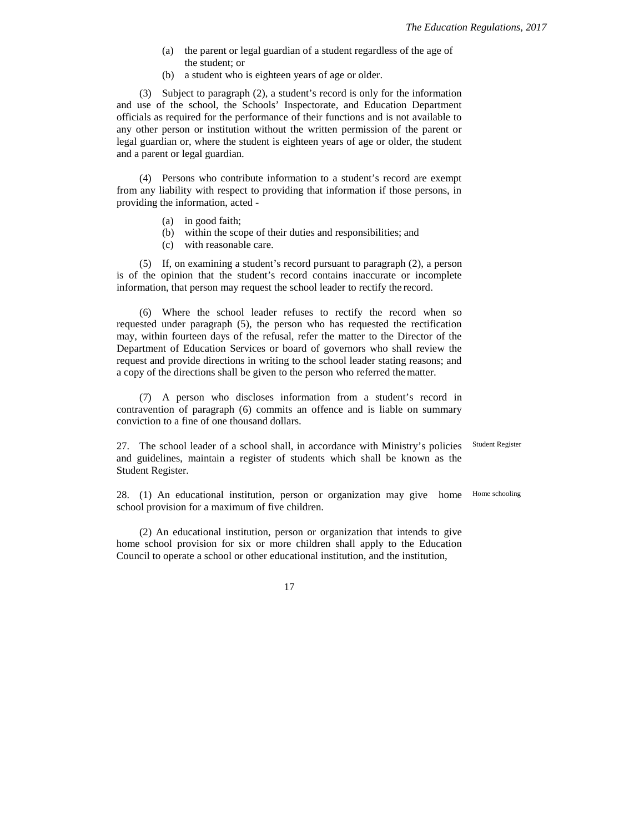- (a) the parent or legal guardian of a student regardless of the age of the student; or
- (b) a student who is eighteen years of age or older.

(3) Subject to paragraph (2), a student's record is only for the information and use of the school, the Schools' Inspectorate, and Education Department officials as required for the performance of their functions and is not available to any other person or institution without the written permission of the parent or legal guardian or, where the student is eighteen years of age or older, the student and a parent or legal guardian.

(4) Persons who contribute information to a student's record are exempt from any liability with respect to providing that information if those persons, in providing the information, acted -

- (a) in good faith;
- (b) within the scope of their duties and responsibilities; and
- (c) with reasonable care.

(5) If, on examining a student's record pursuant to paragraph (2), a person is of the opinion that the student's record contains inaccurate or incomplete information, that person may request the school leader to rectify the record.

(6) Where the school leader refuses to rectify the record when so requested under paragraph (5), the person who has requested the rectification may, within fourteen days of the refusal, refer the matter to the Director of the Department of Education Services or board of governors who shall review the request and provide directions in writing to the school leader stating reasons; and a copy of the directions shall be given to the person who referred the matter.

(7) A person who discloses information from a student's record in contravention of paragraph (6) commits an offence and is liable on summary conviction to a fine of one thousand dollars.

27. The school leader of a school shall, in accordance with Ministry's policies and guidelines, maintain a register of students which shall be known as the Student Register. Student Register

28. (1) An educational institution, person or organization may give home school provision for a maximum of five children. Home schooling

(2) An educational institution, person or organization that intends to give home school provision for six or more children shall apply to the Education Council to operate a school or other educational institution, and the institution,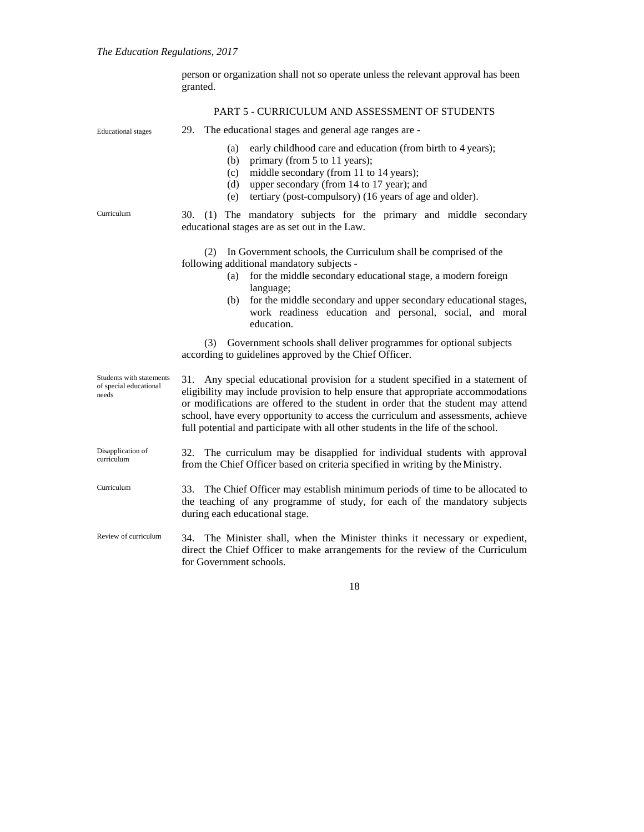person or organization shall not so operate unless the relevant approval has been granted. Educational stages Curriculum Students with statements of special educational needs Disapplication of curriculum Curriculum Review of curriculum PART 5 - CURRICULUM AND ASSESSMENT OF STUDENTS 29. The educational stages and general age ranges are - (a) early childhood care and education (from birth to 4 years); (b) primary (from 5 to 11 years); (c) middle secondary (from 11 to 14 years); (d) upper secondary (from 14 to 17 year); and (e) tertiary (post-compulsory) (16 years of age and older). 30. (1) The mandatory subjects for the primary and middle secondary educational stages are as set out in the Law. (2) In Government schools, the Curriculum shall be comprised of the following additional mandatory subjects - (a) for the middle secondary educational stage, a modern foreign language; (b) for the middle secondary and upper secondary educational stages, work readiness education and personal, social, and moral education. (3) Government schools shall deliver programmes for optional subjects according to guidelines approved by the Chief Officer. 31. Any special educational provision for a student specified in a statement of eligibility may include provision to help ensure that appropriate accommodations or modifications are offered to the student in order that the student may attend school, have every opportunity to access the curriculum and assessments, achieve full potential and participate with all other students in the life of the school. 32. The curriculum may be disapplied for individual students with approval from the Chief Officer based on criteria specified in writing by theMinistry. 33. The Chief Officer may establish minimum periods of time to be allocated to the teaching of any programme of study, for each of the mandatory subjects during each educational stage. 34. The Minister shall, when the Minister thinks it necessary or expedient, direct the Chief Officer to make arrangements for the review of the Curriculum for Government schools.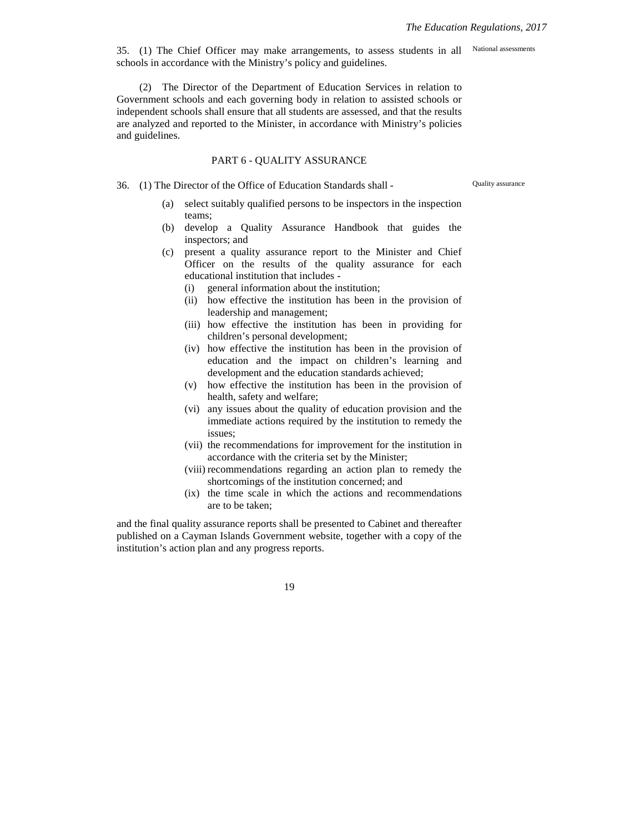35. (1) The Chief Officer may make arrangements, to assess students in all schools in accordance with the Ministry's policy and guidelines. National assessments

(2) The Director of the Department of Education Services in relation to Government schools and each governing body in relation to assisted schools or independent schools shall ensure that all students are assessed, and that the results are analyzed and reported to the Minister, in accordance with Ministry's policies and guidelines.

#### PART 6 - QUALITY ASSURANCE

36. (1) The Director of the Office of Education Standards shall -

Quality assurance

- (a) select suitably qualified persons to be inspectors in the inspection teams;
- (b) develop a Quality Assurance Handbook that guides the inspectors; and
- (c) present a quality assurance report to the Minister and Chief Officer on the results of the quality assurance for each educational institution that includes -
	- (i) general information about the institution;
	- (ii) how effective the institution has been in the provision of leadership and management;
	- (iii) how effective the institution has been in providing for children's personal development;
	- (iv) how effective the institution has been in the provision of education and the impact on children's learning and development and the education standards achieved;
	- (v) how effective the institution has been in the provision of health, safety and welfare;
	- (vi) any issues about the quality of education provision and the immediate actions required by the institution to remedy the issues;
	- (vii) the recommendations for improvement for the institution in accordance with the criteria set by the Minister;
	- (viii) recommendations regarding an action plan to remedy the shortcomings of the institution concerned; and
	- (ix) the time scale in which the actions and recommendations are to be taken;

and the final quality assurance reports shall be presented to Cabinet and thereafter published on a Cayman Islands Government website, together with a copy of the institution's action plan and any progress reports.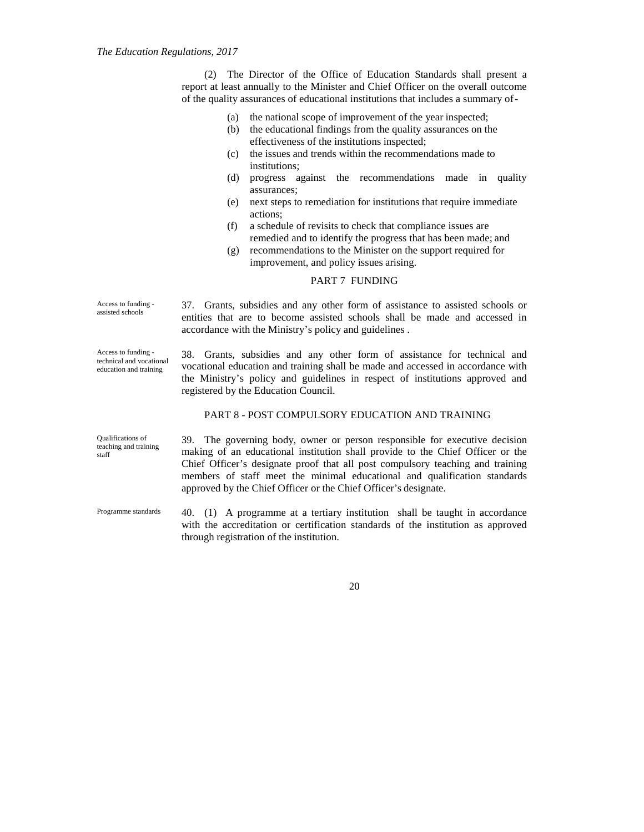(2) The Director of the Office of Education Standards shall present a report at least annually to the Minister and Chief Officer on the overall outcome of the quality assurances of educational institutions that includes a summary of-

|                                                                           | the national scope of improvement of the year inspected;<br>(a)                                                                                                                                                                                                                                                                                                                                |
|---------------------------------------------------------------------------|------------------------------------------------------------------------------------------------------------------------------------------------------------------------------------------------------------------------------------------------------------------------------------------------------------------------------------------------------------------------------------------------|
|                                                                           | the educational findings from the quality assurances on the<br>(b)                                                                                                                                                                                                                                                                                                                             |
|                                                                           | effectiveness of the institutions inspected;                                                                                                                                                                                                                                                                                                                                                   |
|                                                                           | the issues and trends within the recommendations made to<br>(c)                                                                                                                                                                                                                                                                                                                                |
|                                                                           | institutions;                                                                                                                                                                                                                                                                                                                                                                                  |
|                                                                           | (d)<br>progress against the recommendations made in<br>quality<br>assurances:                                                                                                                                                                                                                                                                                                                  |
|                                                                           | next steps to remediation for institutions that require immediate<br>(e)<br>actions;                                                                                                                                                                                                                                                                                                           |
|                                                                           | a schedule of revisits to check that compliance issues are<br>(f)<br>remedied and to identify the progress that has been made; and                                                                                                                                                                                                                                                             |
|                                                                           | recommendations to the Minister on the support required for<br>(g)<br>improvement, and policy issues arising.                                                                                                                                                                                                                                                                                  |
|                                                                           | PART 7 FUNDING                                                                                                                                                                                                                                                                                                                                                                                 |
| Access to funding -<br>assisted schools                                   | 37. Grants, subsidies and any other form of assistance to assisted schools or<br>entities that are to become assisted schools shall be made and accessed in<br>accordance with the Ministry's policy and guidelines.                                                                                                                                                                           |
| Access to funding -<br>technical and vocational<br>education and training | 38. Grants, subsidies and any other form of assistance for technical and<br>vocational education and training shall be made and accessed in accordance with<br>the Ministry's policy and guidelines in respect of institutions approved and<br>registered by the Education Council.                                                                                                            |
|                                                                           | PART 8 - POST COMPULSORY EDUCATION AND TRAINING                                                                                                                                                                                                                                                                                                                                                |
| Qualifications of<br>teaching and training<br>staff                       | 39. The governing body, owner or person responsible for executive decision<br>making of an educational institution shall provide to the Chief Officer or the<br>Chief Officer's designate proof that all post compulsory teaching and training<br>members of staff meet the minimal educational and qualification standards<br>approved by the Chief Officer or the Chief Officer's designate. |
| Programme standards                                                       | 40. (1) A programme at a tertiary institution shall be taught in accordance<br>with the accreditation or certification standards of the institution as approved<br>through registration of the institution.                                                                                                                                                                                    |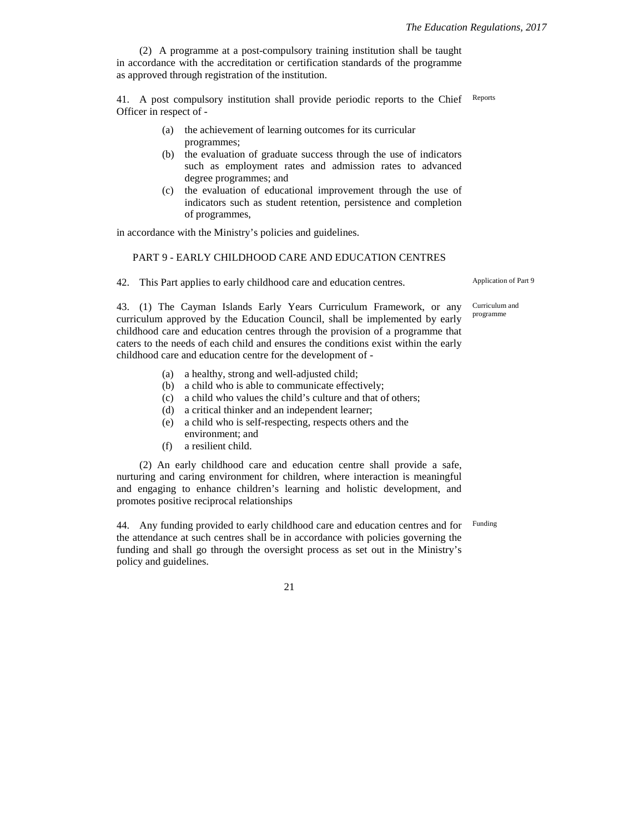(2) A programme at a post-compulsory training institution shall be taught in accordance with the accreditation or certification standards of the programme as approved through registration of the institution.

41. A post compulsory institution shall provide periodic reports to the Chief Officer in respect of - Reports

- (a) the achievement of learning outcomes for its curricular programmes;
- (b) the evaluation of graduate success through the use of indicators such as employment rates and admission rates to advanced degree programmes; and
- (c) the evaluation of educational improvement through the use of indicators such as student retention, persistence and completion of programmes,

in accordance with the Ministry's policies and guidelines.

### PART 9 - EARLY CHILDHOOD CARE AND EDUCATION CENTRES

42. This Part applies to early childhood care and education centres.

Application of Part 9

43. (1) The Cayman Islands Early Years Curriculum Framework, or any curriculum approved by the Education Council, shall be implemented by early childhood care and education centres through the provision of a programme that caters to the needs of each child and ensures the conditions exist within the early childhood care and education centre for the development of -

- (a) a healthy, strong and well-adjusted child;
- (b) a child who is able to communicate effectively;
- (c) a child who values the child's culture and that of others;
- (d) a critical thinker and an independent learner;
- (e) a child who is self-respecting, respects others and the environment; and
- (f) a resilient child.

(2) An early childhood care and education centre shall provide a safe, nurturing and caring environment for children, where interaction is meaningful and engaging to enhance children's learning and holistic development, and promotes positive reciprocal relationships

44. Any funding provided to early childhood care and education centres and for the attendance at such centres shall be in accordance with policies governing the funding and shall go through the oversight process as set out in the Ministry's policy and guidelines. Funding

21

Curriculum and programme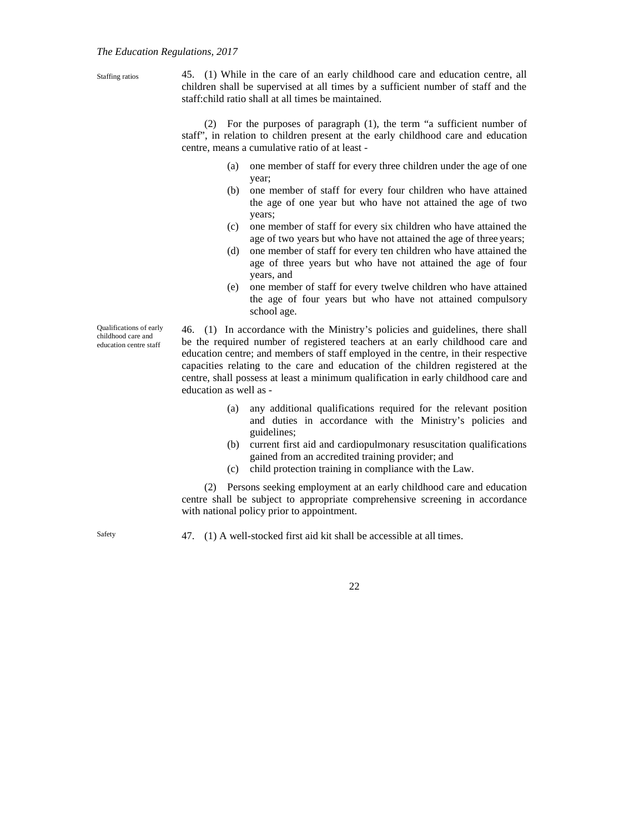#### *The Education Regulations, 2017*

| Staffing ratios | 45. (1) While in the care of an early childhood care and education centre, all    |
|-----------------|-----------------------------------------------------------------------------------|
|                 | children shall be supervised at all times by a sufficient number of staff and the |
|                 | staff: child ratio shall at all times be maintained.                              |
|                 |                                                                                   |

(2) For the purposes of paragraph (1), the term "a sufficient number of staff", in relation to children present at the early childhood care and education centre, means a cumulative ratio of at least -

- (a) one member of staff for every three children under the age of one year;
- (b) one member of staff for every four children who have attained the age of one year but who have not attained the age of two years;
- (c) one member of staff for every six children who have attained the age of two years but who have not attained the age of three years;
- (d) one member of staff for every ten children who have attained the age of three years but who have not attained the age of four years, and
- (e) one member of staff for every twelve children who have attained the age of four years but who have not attained compulsory school age.

Qualifications of early childhood care and education centre staff

46. (1) In accordance with the Ministry's policies and guidelines, there shall be the required number of registered teachers at an early childhood care and education centre; and members of staff employed in the centre, in their respective capacities relating to the care and education of the children registered at the centre, shall possess at least a minimum qualification in early childhood care and education as well as -

- (a) any additional qualifications required for the relevant position and duties in accordance with the Ministry's policies and guidelines;
- (b) current first aid and cardiopulmonary resuscitation qualifications gained from an accredited training provider; and
- (c) child protection training in compliance with the Law.

(2) Persons seeking employment at an early childhood care and education centre shall be subject to appropriate comprehensive screening in accordance with national policy prior to appointment.

Safety

47. (1) A well-stocked first aid kit shall be accessible at all times.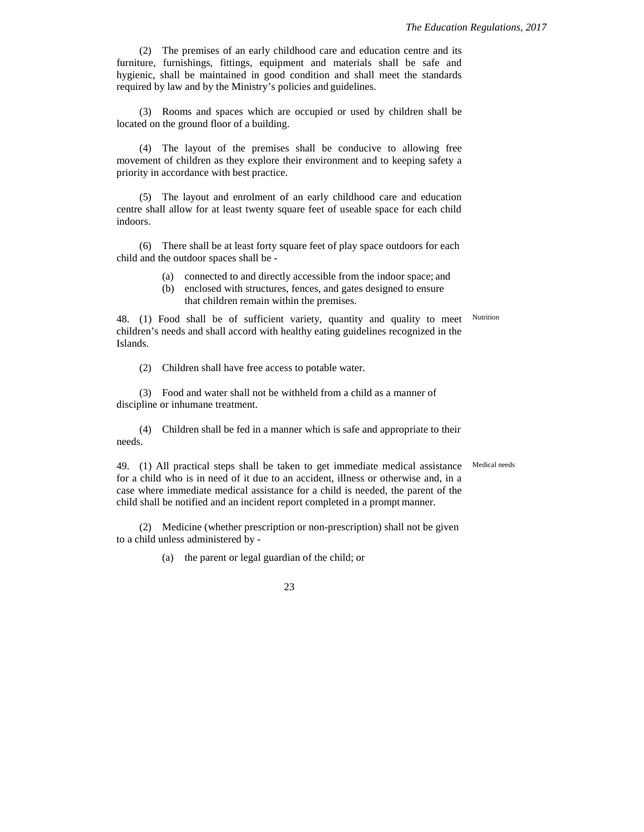(2) The premises of an early childhood care and education centre and its furniture, furnishings, fittings, equipment and materials shall be safe and hygienic, shall be maintained in good condition and shall meet the standards required by law and by the Ministry's policies and guidelines.

(3) Rooms and spaces which are occupied or used by children shall be located on the ground floor of a building.

(4) The layout of the premises shall be conducive to allowing free movement of children as they explore their environment and to keeping safety a priority in accordance with best practice.

(5) The layout and enrolment of an early childhood care and education centre shall allow for at least twenty square feet of useable space for each child indoors.

(6) There shall be at least forty square feet of play space outdoors for each child and the outdoor spaces shall be -

- (a) connected to and directly accessible from the indoor space; and
- (b) enclosed with structures, fences, and gates designed to ensure that children remain within the premises.

48. (1) Food shall be of sufficient variety, quantity and quality to meet children's needs and shall accord with healthy eating guidelines recognized in the Islands. Nutrition

(2) Children shall have free access to potable water.

(3) Food and water shall not be withheld from a child as a manner of discipline or inhumane treatment.

(4) Children shall be fed in a manner which is safe and appropriate to their needs.

Medical needs

49. (1) All practical steps shall be taken to get immediate medical assistance for a child who is in need of it due to an accident, illness or otherwise and, in a case where immediate medical assistance for a child is needed, the parent of the child shall be notified and an incident report completed in a prompt manner.

(2) Medicine (whether prescription or non-prescription) shall not be given to a child unless administered by -

(a) the parent or legal guardian of the child; or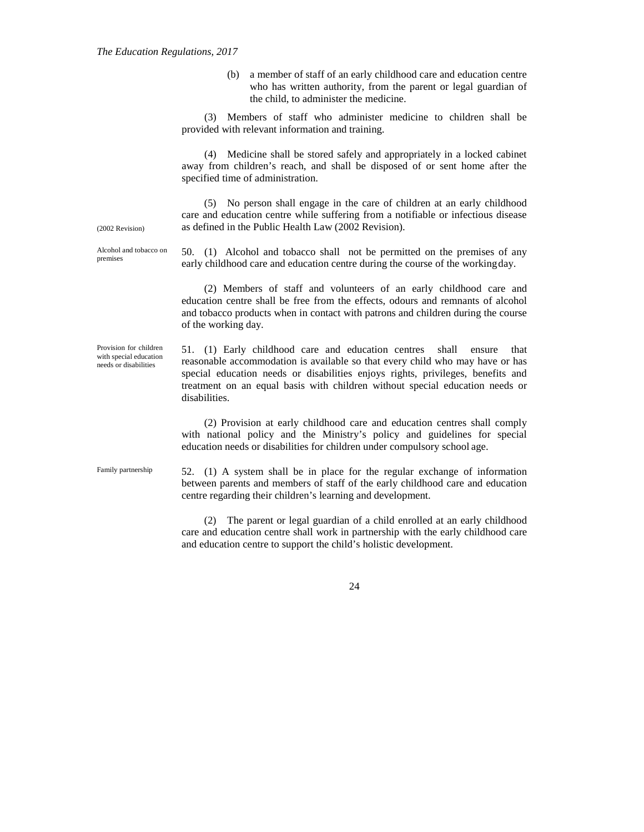(b) a member of staff of an early childhood care and education centre who has written authority, from the parent or legal guardian of the child, to administer the medicine.

(3) Members of staff who administer medicine to children shall be provided with relevant information and training.

(4) Medicine shall be stored safely and appropriately in a locked cabinet away from children's reach, and shall be disposed of or sent home after the specified time of administration.

(5) No person shall engage in the care of children at an early childhood care and education centre while suffering from a notifiable or infectious disease as defined in the Public Health Law (2002 Revision).

(2002 Revision)

Alcohol and tobacco on premises

50. (1) Alcohol and tobacco shall not be permitted on the premises of any early childhood care and education centre during the course of the workingday.

(2) Members of staff and volunteers of an early childhood care and education centre shall be free from the effects, odours and remnants of alcohol and tobacco products when in contact with patrons and children during the course of the working day.

Provision for children with special education needs or disabilities

51. (1) Early childhood care and education centres shall ensure that reasonable accommodation is available so that every child who may have or has special education needs or disabilities enjoys rights, privileges, benefits and treatment on an equal basis with children without special education needs or disabilities.

(2) Provision at early childhood care and education centres shall comply with national policy and the Ministry's policy and guidelines for special education needs or disabilities for children under compulsory school age.

Family partnership

52. (1) A system shall be in place for the regular exchange of information between parents and members of staff of the early childhood care and education centre regarding their children's learning and development.

(2) The parent or legal guardian of a child enrolled at an early childhood care and education centre shall work in partnership with the early childhood care and education centre to support the child's holistic development.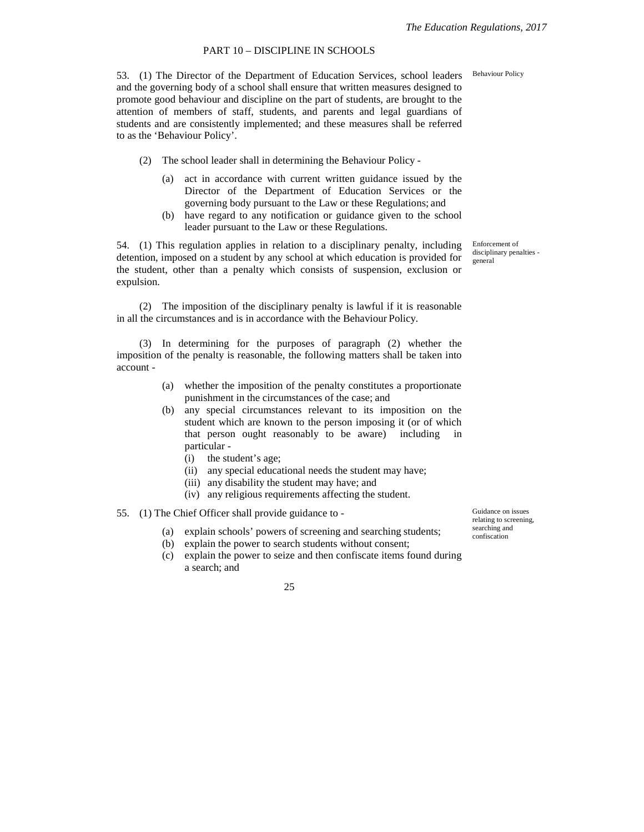## PART 10 – DISCIPLINE IN SCHOOLS

53. (1) The Director of the Department of Education Services, school leaders Behaviour Policy and the governing body of a school shall ensure that written measures designed to promote good behaviour and discipline on the part of students, are brought to the attention of members of staff, students, and parents and legal guardians of students and are consistently implemented; and these measures shall be referred to as the 'Behaviour Policy'.

- (2) The school leader shall in determining the Behaviour Policy
	- (a) act in accordance with current written guidance issued by the Director of the Department of Education Services or the governing body pursuant to the Law or these Regulations; and
	- (b) have regard to any notification or guidance given to the school leader pursuant to the Law or these Regulations.

54. (1) This regulation applies in relation to a disciplinary penalty, including detention, imposed on a student by any school at which education is provided for the student, other than a penalty which consists of suspension, exclusion or expulsion.

(2) The imposition of the disciplinary penalty is lawful if it is reasonable in all the circumstances and is in accordance with the Behaviour Policy.

(3) In determining for the purposes of paragraph (2) whether the imposition of the penalty is reasonable, the following matters shall be taken into account -

- (a) whether the imposition of the penalty constitutes a proportionate punishment in the circumstances of the case; and
- (b) any special circumstances relevant to its imposition on the student which are known to the person imposing it (or of which that person ought reasonably to be aware) including in particular -
	- (i) the student's age;
	- (ii) any special educational needs the student may have;
	- (iii) any disability the student may have; and
	- (iv) any religious requirements affecting the student.
- 55. (1) The Chief Officer shall provide guidance to
	- (a) explain schools' powers of screening and searching students;
	- (b) explain the power to search students without consent;
	- (c) explain the power to seize and then confiscate items found during a search; and

Guidance on issues relating to screening, searching and confiscation

Enforcement of disciplinary penalties general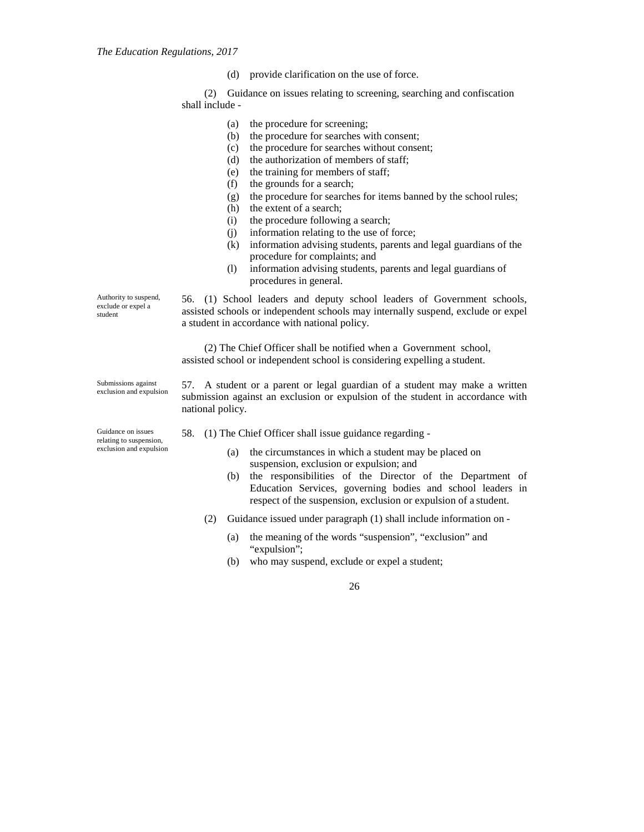(d) provide clarification on the use of force.

(2) Guidance on issues relating to screening, searching and confiscation shall include -

- (a) the procedure for screening;
- (b) the procedure for searches with consent;
- (c) the procedure for searches without consent;
- (d) the authorization of members of staff;
- (e) the training for members of staff;
- (f) the grounds for a search;
- (g) the procedure for searches for items banned by the school rules;
- (h) the extent of a search;
- (i) the procedure following a search;
- (j) information relating to the use of force;
- (k) information advising students, parents and legal guardians of the procedure for complaints; and
- (l) information advising students, parents and legal guardians of procedures in general.

56. (1) School leaders and deputy school leaders of Government schools, assisted schools or independent schools may internally suspend, exclude or expel a student in accordance with national policy.

(2) The Chief Officer shall be notified when a Government school, assisted school or independent school is considering expelling a student.

57. A student or a parent or legal guardian of a student may make a written submission against an exclusion or expulsion of the student in accordance with national policy.

58. (1) The Chief Officer shall issue guidance regarding -

- (a) the circumstances in which a student may be placed on suspension, exclusion or expulsion; and
- (b) the responsibilities of the Director of the Department of Education Services, governing bodies and school leaders in respect of the suspension, exclusion or expulsion of a student.
- (2) Guidance issued under paragraph (1) shall include information on
	- (a) the meaning of the words "suspension", "exclusion" and "expulsion";
	- (b) who may suspend, exclude or expel a student;

26

Authority to suspend, exclude or expel a student

Submissions against exclusion and expulsion

Guidance on issues relating to suspension, exclusion and expulsion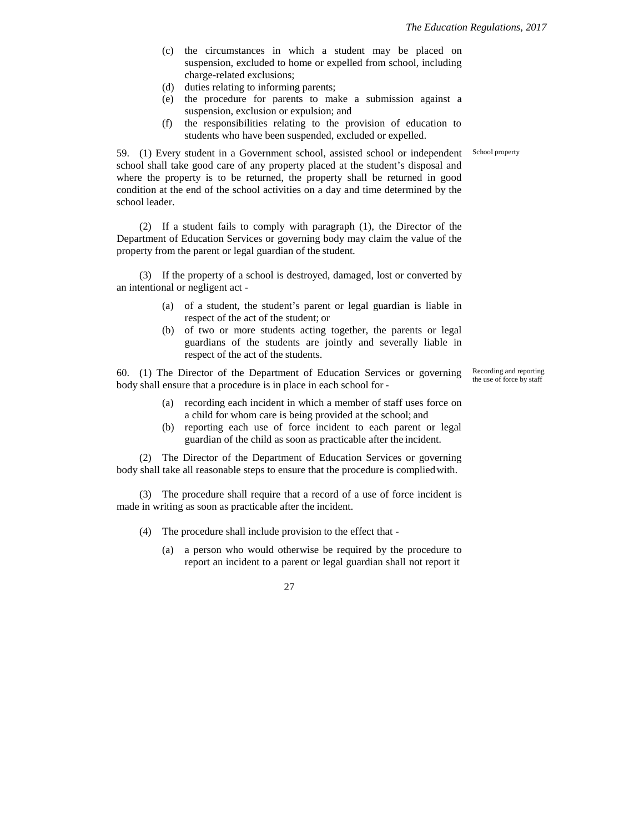- (c) the circumstances in which a student may be placed on suspension, excluded to home or expelled from school, including charge-related exclusions;
- (d) duties relating to informing parents;
- (e) the procedure for parents to make a submission against a suspension, exclusion or expulsion; and
- (f) the responsibilities relating to the provision of education to students who have been suspended, excluded or expelled.

59. (1) Every student in a Government school, assisted school or independent school shall take good care of any property placed at the student's disposal and where the property is to be returned, the property shall be returned in good condition at the end of the school activities on a day and time determined by the school leader.

(2) If a student fails to comply with paragraph (1), the Director of the Department of Education Services or governing body may claim the value of the property from the parent or legal guardian of the student.

(3) If the property of a school is destroyed, damaged, lost or converted by an intentional or negligent act -

- (a) of a student, the student's parent or legal guardian is liable in respect of the act of the student; or
- (b) of two or more students acting together, the parents or legal guardians of the students are jointly and severally liable in respect of the act of the students.

60. (1) The Director of the Department of Education Services or governing body shall ensure that a procedure is in place in each school for -

- (a) recording each incident in which a member of staff uses force on a child for whom care is being provided at the school; and
- (b) reporting each use of force incident to each parent or legal guardian of the child as soon as practicable after the incident.

(2) The Director of the Department of Education Services or governing body shall take all reasonable steps to ensure that the procedure is compliedwith.

(3) The procedure shall require that a record of a use of force incident is made in writing as soon as practicable after the incident.

- (4) The procedure shall include provision to the effect that
	- (a) a person who would otherwise be required by the procedure to report an incident to a parent or legal guardian shall not report it

27

School property

Recording and reporting the use of force by staff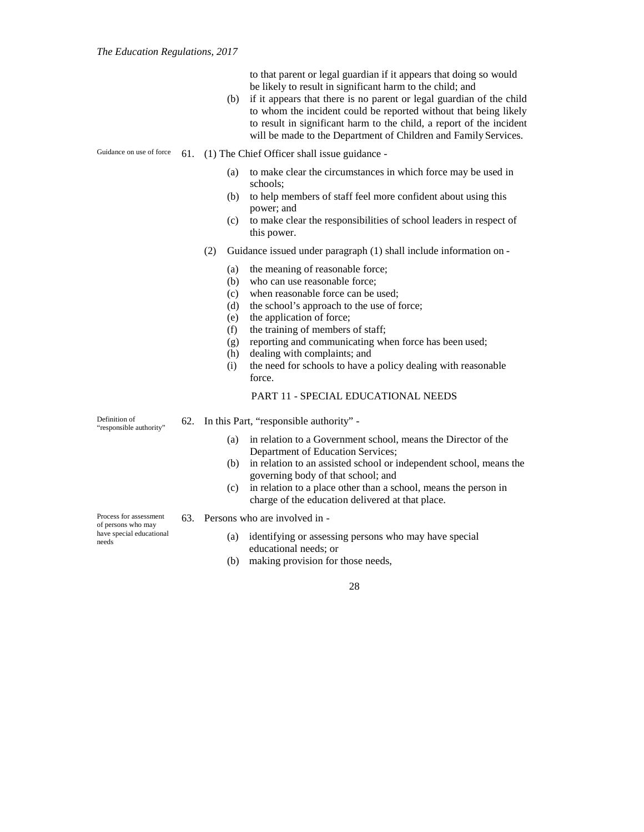to that parent or legal guardian if it appears that doing so would be likely to result in significant harm to the child; and

(b) if it appears that there is no parent or legal guardian of the child to whom the incident could be reported without that being likely to result in significant harm to the child, a report of the incident will be made to the Department of Children and Family Services.

#### Guidance on use of force 61. (1) The Chief Officer shall issue guidance -

- (a) to make clear the circumstances in which force may be used in schools;
- (b) to help members of staff feel more confident about using this power; and
- (c) to make clear the responsibilities of school leaders in respect of this power.
- (2) Guidance issued under paragraph (1) shall include information on
	- (a) the meaning of reasonable force;
	- (b) who can use reasonable force;
	- (c) when reasonable force can be used;
	- (d) the school's approach to the use of force;
	- (e) the application of force;
	- (f) the training of members of staff;
	- (g) reporting and communicating when force has been used;
	- (h) dealing with complaints; and
	- (i) the need for schools to have a policy dealing with reasonable force.

## PART 11 - SPECIAL EDUCATIONAL NEEDS

Definition of "responsible authority" 62. In this Part, "responsible authority" -

- (a) in relation to a Government school, means the Director of the Department of Education Services;
- (b) in relation to an assisted school or independent school, means the governing body of that school; and
- (c) in relation to a place other than a school, means the person in charge of the education delivered at that place.

Process for assessment of persons who may have special educational needs

- 63. Persons who are involved in
	- (a) identifying or assessing persons who may have special educational needs; or
	- (b) making provision for those needs,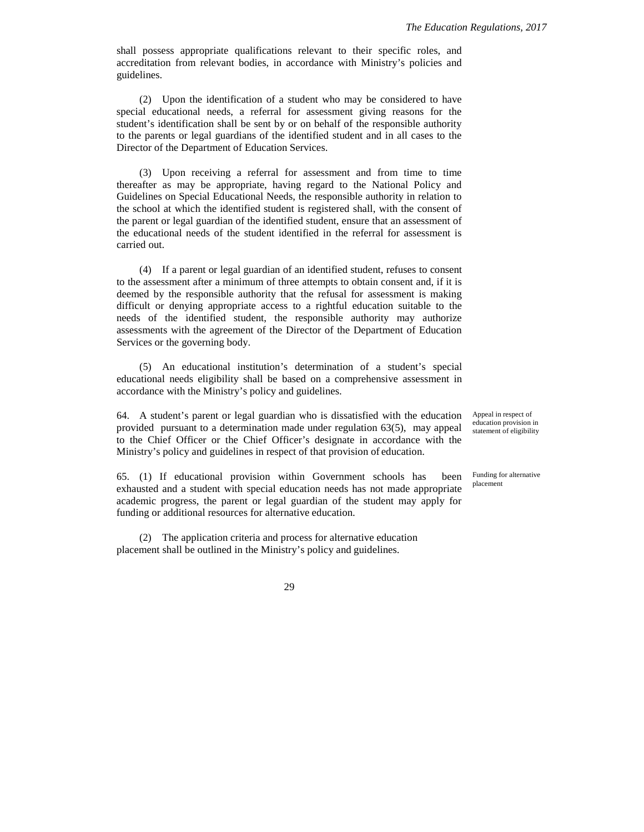shall possess appropriate qualifications relevant to their specific roles, and accreditation from relevant bodies, in accordance with Ministry's policies and guidelines.

(2) Upon the identification of a student who may be considered to have special educational needs, a referral for assessment giving reasons for the student's identification shall be sent by or on behalf of the responsible authority to the parents or legal guardians of the identified student and in all cases to the Director of the Department of Education Services.

(3) Upon receiving a referral for assessment and from time to time thereafter as may be appropriate, having regard to the National Policy and Guidelines on Special Educational Needs, the responsible authority in relation to the school at which the identified student is registered shall, with the consent of the parent or legal guardian of the identified student, ensure that an assessment of the educational needs of the student identified in the referral for assessment is carried out.

(4) If a parent or legal guardian of an identified student, refuses to consent to the assessment after a minimum of three attempts to obtain consent and, if it is deemed by the responsible authority that the refusal for assessment is making difficult or denying appropriate access to a rightful education suitable to the needs of the identified student, the responsible authority may authorize assessments with the agreement of the Director of the Department of Education Services or the governing body.

(5) An educational institution's determination of a student's special educational needs eligibility shall be based on a comprehensive assessment in accordance with the Ministry's policy and guidelines.

64. A student's parent or legal guardian who is dissatisfied with the education provided pursuant to a determination made under regulation 63(5), may appeal to the Chief Officer or the Chief Officer's designate in accordance with the Ministry's policy and guidelines in respect of that provision of education.

65. (1) If educational provision within Government schools has been exhausted and a student with special education needs has not made appropriate academic progress, the parent or legal guardian of the student may apply for funding or additional resources for alternative education.

(2) The application criteria and process for alternative education placement shall be outlined in the Ministry's policy and guidelines.

Appeal in respect of education provision in statement of eligibility

Funding for alternative placement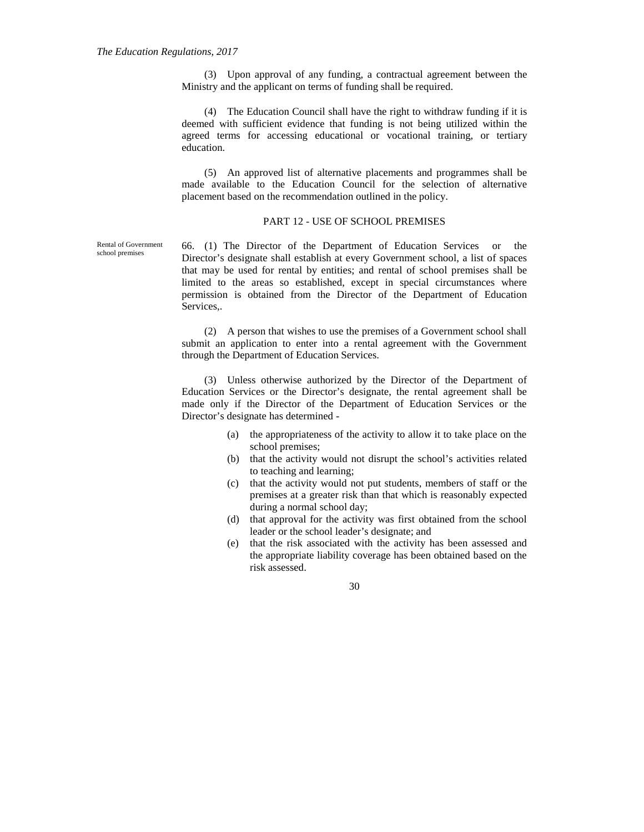(3) Upon approval of any funding, a contractual agreement between the Ministry and the applicant on terms of funding shall be required.

(4) The Education Council shall have the right to withdraw funding if it is deemed with sufficient evidence that funding is not being utilized within the agreed terms for accessing educational or vocational training, or tertiary education.

(5) An approved list of alternative placements and programmes shall be made available to the Education Council for the selection of alternative placement based on the recommendation outlined in the policy.

## PART 12 - USE OF SCHOOL PREMISES

66. (1) The Director of the Department of Education Services or the Director's designate shall establish at every Government school, a list of spaces that may be used for rental by entities; and rental of school premises shall be limited to the areas so established, except in special circumstances where permission is obtained from the Director of the Department of Education Services,.

(2) A person that wishes to use the premises of a Government school shall submit an application to enter into a rental agreement with the Government through the Department of Education Services.

(3) Unless otherwise authorized by the Director of the Department of Education Services or the Director's designate, the rental agreement shall be made only if the Director of the Department of Education Services or the Director's designate has determined -

- (a) the appropriateness of the activity to allow it to take place on the school premises;
- (b) that the activity would not disrupt the school's activities related to teaching and learning;
- (c) that the activity would not put students, members of staff or the premises at a greater risk than that which is reasonably expected during a normal school day;
- (d) that approval for the activity was first obtained from the school leader or the school leader's designate; and
- (e) that the risk associated with the activity has been assessed and the appropriate liability coverage has been obtained based on the risk assessed.

30

Rental of Government school premises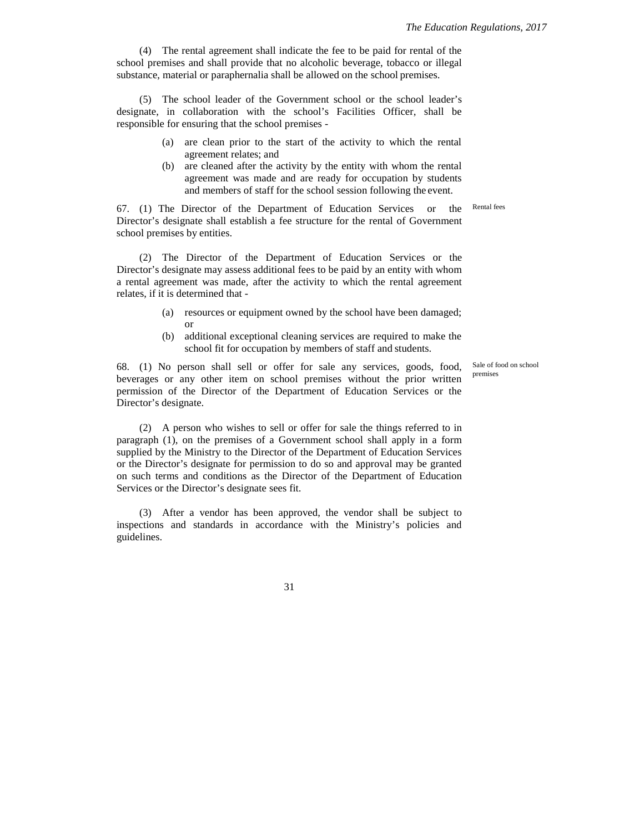Rental fees

(4) The rental agreement shall indicate the fee to be paid for rental of the school premises and shall provide that no alcoholic beverage, tobacco or illegal substance, material or paraphernalia shall be allowed on the school premises.

(5) The school leader of the Government school or the school leader's designate, in collaboration with the school's Facilities Officer, shall be responsible for ensuring that the school premises -

- (a) are clean prior to the start of the activity to which the rental agreement relates; and
- (b) are cleaned after the activity by the entity with whom the rental agreement was made and are ready for occupation by students and members of staff for the school session following the event.

67. (1) The Director of the Department of Education Services or the Director's designate shall establish a fee structure for the rental of Government school premises by entities.

(2) The Director of the Department of Education Services or the Director's designate may assess additional fees to be paid by an entity with whom a rental agreement was made, after the activity to which the rental agreement relates, if it is determined that -

- (a) resources or equipment owned by the school have been damaged; or
- (b) additional exceptional cleaning services are required to make the school fit for occupation by members of staff and students.

68. (1) No person shall sell or offer for sale any services, goods, food, beverages or any other item on school premises without the prior written permission of the Director of the Department of Education Services or the Director's designate.

(2) A person who wishes to sell or offer for sale the things referred to in paragraph (1), on the premises of a Government school shall apply in a form supplied by the Ministry to the Director of the Department of Education Services or the Director's designate for permission to do so and approval may be granted on such terms and conditions as the Director of the Department of Education Services or the Director's designate sees fit.

(3) After a vendor has been approved, the vendor shall be subject to inspections and standards in accordance with the Ministry's policies and guidelines.

Sale of food on school premises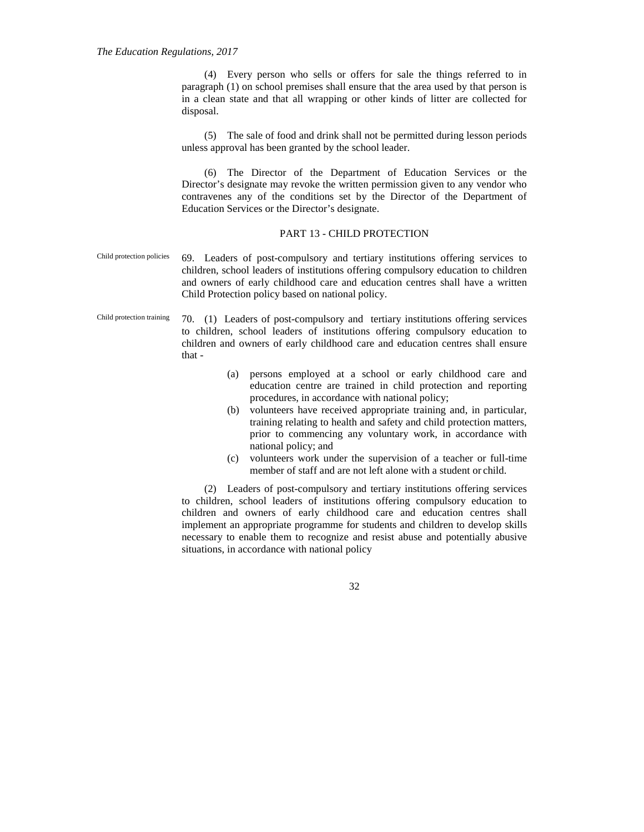(4) Every person who sells or offers for sale the things referred to in paragraph (1) on school premises shall ensure that the area used by that person is in a clean state and that all wrapping or other kinds of litter are collected for disposal.

(5) The sale of food and drink shall not be permitted during lesson periods unless approval has been granted by the school leader.

(6) The Director of the Department of Education Services or the Director's designate may revoke the written permission given to any vendor who contravenes any of the conditions set by the Director of the Department of Education Services or the Director's designate.

## PART 13 - CHILD PROTECTION

- Child protection policies 69. Leaders of post-compulsory and tertiary institutions offering services to children, school leaders of institutions offering compulsory education to children and owners of early childhood care and education centres shall have a written Child Protection policy based on national policy.
- Child protection training 70. (1) Leaders of post-compulsory and tertiary institutions offering services to children, school leaders of institutions offering compulsory education to children and owners of early childhood care and education centres shall ensure that -
	- (a) persons employed at a school or early childhood care and education centre are trained in child protection and reporting procedures, in accordance with national policy;
	- (b) volunteers have received appropriate training and, in particular, training relating to health and safety and child protection matters, prior to commencing any voluntary work, in accordance with national policy; and
	- (c) volunteers work under the supervision of a teacher or full-time member of staff and are not left alone with a student or child.

(2) Leaders of post-compulsory and tertiary institutions offering services to children, school leaders of institutions offering compulsory education to children and owners of early childhood care and education centres shall implement an appropriate programme for students and children to develop skills necessary to enable them to recognize and resist abuse and potentially abusive situations, in accordance with national policy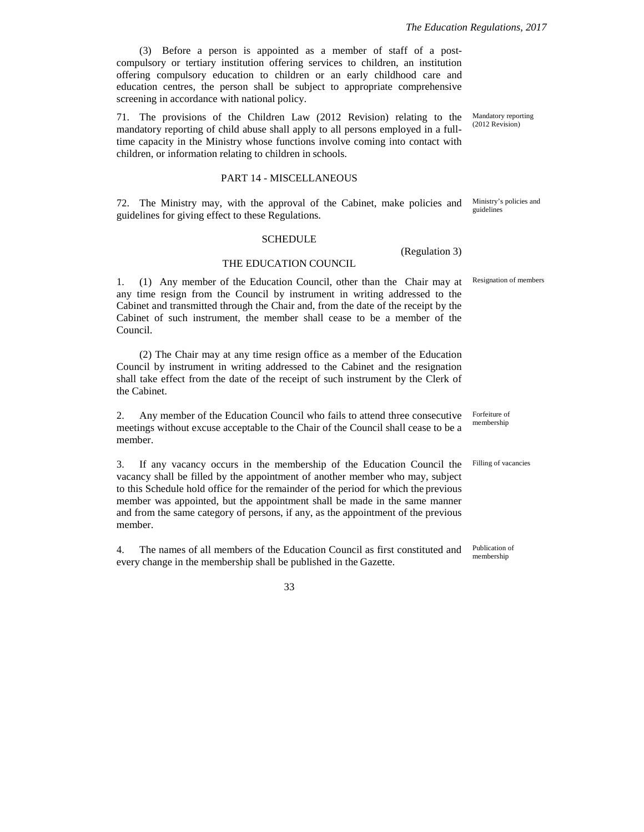(3) Before a person is appointed as a member of staff of a postcompulsory or tertiary institution offering services to children, an institution offering compulsory education to children or an early childhood care and education centres, the person shall be subject to appropriate comprehensive screening in accordance with national policy.

71. The provisions of the Children Law (2012 Revision) relating to the mandatory reporting of child abuse shall apply to all persons employed in a fulltime capacity in the Ministry whose functions involve coming into contact with children, or information relating to children in schools.

### PART 14 - MISCELLANEOUS

72. The Ministry may, with the approval of the Cabinet, make policies and guidelines for giving effect to these Regulations.

#### SCHEDULE

#### THE EDUCATION COUNCIL

1. (1) Any member of the Education Council, other than the Chair may at any time resign from the Council by instrument in writing addressed to the Cabinet and transmitted through the Chair and, from the date of the receipt by the Cabinet of such instrument, the member shall cease to be a member of the Council.

(2) The Chair may at any time resign office as a member of the Education Council by instrument in writing addressed to the Cabinet and the resignation shall take effect from the date of the receipt of such instrument by the Clerk of the Cabinet.

2. Any member of the Education Council who fails to attend three consecutive meetings without excuse acceptable to the Chair of the Council shall cease to be a member.

3. If any vacancy occurs in the membership of the Education Council the vacancy shall be filled by the appointment of another member who may, subject to this Schedule hold office for the remainder of the period for which the previous member was appointed, but the appointment shall be made in the same manner and from the same category of persons, if any, as the appointment of the previous member.

4. The names of all members of the Education Council as first constituted and every change in the membership shall be published in the Gazette. membership

33

Mandatory reporting (2012 Revision)

Ministry's policies and guidelines

Resignation of members

(Regulation 3)

Forfeiture of membership

Filling of vacancies

Publication of